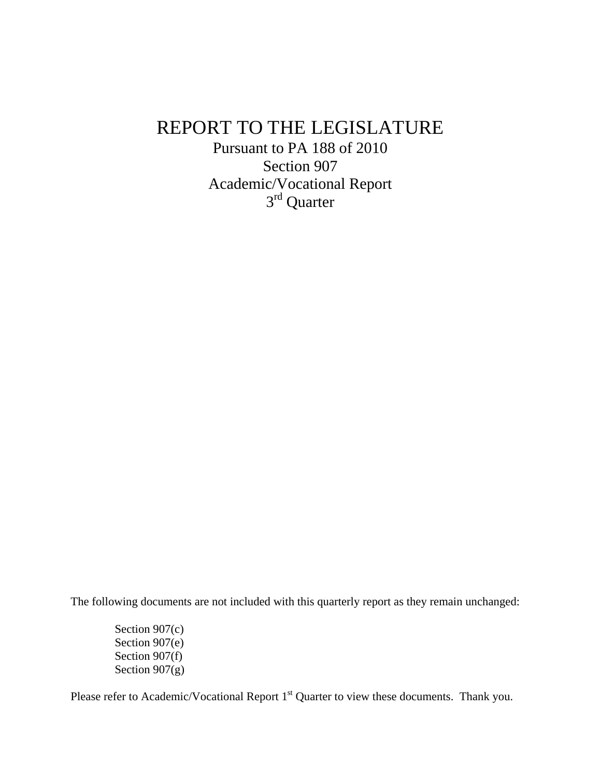## REPORT TO THE LEGISLATURE

Pursuant to PA 188 of 2010 Section 907 Academic/Vocational Report 3rd Quarter

The following documents are not included with this quarterly report as they remain unchanged:

Section 907(c) Section 907(e) Section 907(f) Section  $907(g)$ 

Please refer to Academic/Vocational Report 1<sup>st</sup> Quarter to view these documents. Thank you.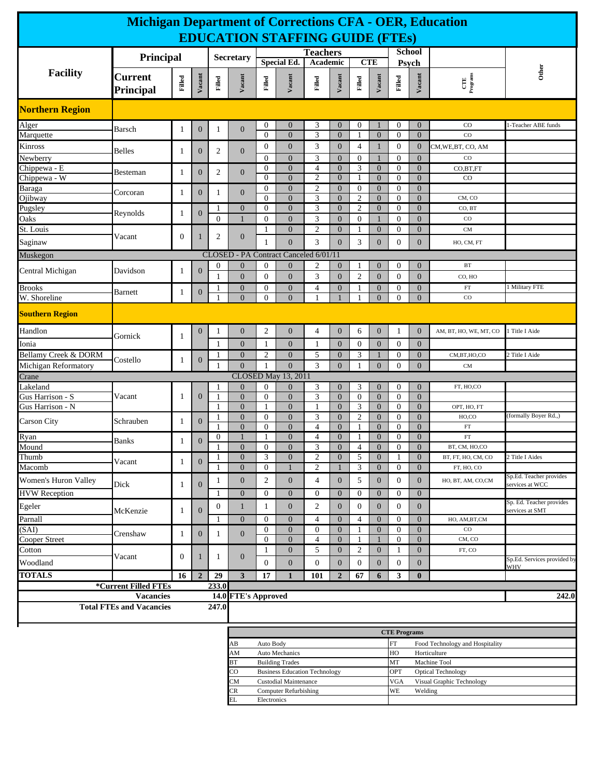| <b>Michigan Department of Corrections CFA - OER, Education</b>           |                                                    |                  |                  |                   |                                                                                                                               |                                                                          |                                         |                                  |                                  |                                                 |                                    |                                  |                                  |                          |                                             |
|--------------------------------------------------------------------------|----------------------------------------------------|------------------|------------------|-------------------|-------------------------------------------------------------------------------------------------------------------------------|--------------------------------------------------------------------------|-----------------------------------------|----------------------------------|----------------------------------|-------------------------------------------------|------------------------------------|----------------------------------|----------------------------------|--------------------------|---------------------------------------------|
| <b>EDUCATION STAFFING GUIDE (FTES)</b>                                   |                                                    |                  |                  |                   |                                                                                                                               |                                                                          |                                         |                                  |                                  |                                                 |                                    |                                  |                                  |                          |                                             |
|                                                                          |                                                    |                  | <b>Secretary</b> |                   |                                                                                                                               |                                                                          | <b>Teachers</b>                         |                                  |                                  |                                                 | <b>School</b>                      |                                  |                                  |                          |                                             |
|                                                                          |                                                    | Principal        |                  |                   |                                                                                                                               |                                                                          | <b>Special Ed.</b>                      |                                  | Academic                         |                                                 | <b>CTE</b>                         |                                  | Psych                            |                          |                                             |
| Facility                                                                 | <b>Current</b><br>Principal                        | Filled           | Vacant           | Filled            | Vacant                                                                                                                        | Filled                                                                   | Vacant                                  | Filled                           | Vacant                           | Filled                                          | Vacant                             | $_{\rm FIIed}$                   | Vacant                           | $CTE$<br>Programs        | Other                                       |
| <b>Northern Region</b>                                                   |                                                    |                  |                  |                   |                                                                                                                               |                                                                          |                                         |                                  |                                  |                                                 |                                    |                                  |                                  |                          |                                             |
| Alger                                                                    | Barsch                                             | 1                | $\mathbf{0}$     | 1                 | $\mathbf{0}$                                                                                                                  | 0                                                                        | $\boldsymbol{0}$                        | 3                                | $\mathbf{0}$                     | $\mathbf{0}$                                    | 1                                  | 0                                | $\overline{0}$                   | $_{\rm CO}$              | 1-Teacher ABE funds                         |
| Marquette                                                                |                                                    |                  |                  |                   |                                                                                                                               | $\Omega$                                                                 | $\overline{0}$                          | 3                                | $\boldsymbol{0}$                 | $\mathbf{1}$                                    | $\overline{0}$                     | $\mathbf{0}$                     | $\overline{0}$                   | $_{\rm CO}$              |                                             |
| Kinross                                                                  | <b>Belles</b>                                      | 1                | $\boldsymbol{0}$ | 2                 | $\mathbf{0}$                                                                                                                  | $\boldsymbol{0}$                                                         | $\mathbf{0}$                            | 3                                | $\mathbf{0}$                     | $\overline{4}$                                  | $\mathbf{1}$                       | $\boldsymbol{0}$                 | $\mathbf{0}$                     | CM, WE, BT, CO, AM       |                                             |
| Newberry<br>Chippewa - E                                                 |                                                    |                  |                  |                   |                                                                                                                               | $\Omega$<br>$\overline{0}$                                               | $\overline{0}$<br>$\overline{0}$        | 3<br>$\overline{4}$              | $\mathbf{0}$<br>$\mathbf{0}$     | $\mathbf{0}$<br>3                               | $\overline{0}$                     | $\overline{0}$<br>$\mathbf{0}$   | $\mathbf{0}$<br>$\overline{0}$   | $_{\rm CO}$<br>CO,BT,FT  |                                             |
| Chippewa - W                                                             | Besteman                                           | $\mathbf{1}$     | $\boldsymbol{0}$ | $\overline{2}$    | $\mathbf{0}$                                                                                                                  | $\Omega$                                                                 | $\overline{0}$                          | $\mathfrak{2}$                   | $\boldsymbol{0}$                 |                                                 | $\overline{0}$                     | $\mathbf{0}$                     | $\overline{0}$                   | CO                       |                                             |
| Baraga                                                                   | Corcoran                                           | 1                | $\mathbf{0}$     | 1                 | $\mathbf{0}$                                                                                                                  | $\boldsymbol{0}$                                                         | $\boldsymbol{0}$                        | $\boldsymbol{2}$                 | $\boldsymbol{0}$                 | $\boldsymbol{0}$                                | $\boldsymbol{0}$                   | $\boldsymbol{0}$                 | $\mathbf{0}$                     |                          |                                             |
| Ojibway                                                                  |                                                    |                  |                  |                   | $\mathbf{0}$                                                                                                                  | $\Omega$<br>$\mathbf{0}$                                                 | $\overline{0}$<br>$\boldsymbol{0}$      | 3<br>3                           | $\mathbf{0}$<br>$\mathbf{0}$     | $\mathfrak{2}$<br>$\mathfrak{2}$                | $\overline{0}$<br>$\boldsymbol{0}$ | $\mathbf{0}$<br>$\overline{0}$   | $\overline{0}$<br>$\overline{0}$ | CM, CO<br>CO, BT         |                                             |
| Pugsley<br>Oaks                                                          | Reynolds                                           | 1                | $\mathbf{0}$     | 1<br>$\mathbf{0}$ | $\mathbf{1}$                                                                                                                  | $\overline{0}$                                                           | $\overline{0}$                          | 3                                | $\mathbf{0}$                     | $\boldsymbol{0}$                                | $\mathbf{1}$                       | $\mathbf{0}$                     | $\overline{0}$                   | $_{\rm CO}$              |                                             |
| St. Louis                                                                |                                                    |                  |                  |                   |                                                                                                                               | 1                                                                        | $\boldsymbol{0}$                        | $\mathfrak{2}$                   | $\mathbf{0}$                     | 1                                               | $\boldsymbol{0}$                   | $\boldsymbol{0}$                 | $\mathbf{0}$                     | <b>CM</b>                |                                             |
| Saginaw                                                                  | Vacant                                             | $\boldsymbol{0}$ | 1                | 2                 | $\mathbf{0}$                                                                                                                  | 1                                                                        | $\overline{0}$                          | 3                                | $\mathbf{0}$                     | 3                                               | $\overline{0}$                     | $\mathbf{0}$                     | $\overline{0}$                   | HO, CM, FT               |                                             |
| Muskegon                                                                 |                                                    |                  |                  | <b>CLOSED</b>     |                                                                                                                               |                                                                          | - PA Contract Canceled 6/01/11          |                                  |                                  |                                                 |                                    |                                  |                                  |                          |                                             |
|                                                                          |                                                    |                  |                  | 0                 | $\mathbf{0}$                                                                                                                  | $\overline{0}$                                                           | $\overline{0}$                          | 2                                | $\mathbf{0}$                     | -1                                              | $\overline{0}$                     | 0                                | $\overline{0}$                   | <b>BT</b>                |                                             |
| Central Michigan                                                         | Davidson                                           | 1                | $\mathbf{0}$     | 1                 | $\mathbf{0}$                                                                                                                  | $\mathbf{0}$                                                             | $\overline{0}$                          | 3                                | $\boldsymbol{0}$                 | 2                                               | $\boldsymbol{0}$                   | $\overline{0}$                   | $\overline{0}$                   | CO, HO                   |                                             |
| <b>Brooks</b>                                                            | <b>Barnett</b>                                     | 1                | $\boldsymbol{0}$ | 1                 | $\boldsymbol{0}$                                                                                                              | $\mathbf{0}$                                                             | $\boldsymbol{0}$                        | 4                                | $\mathbf{0}$                     | 1                                               | $\boldsymbol{0}$                   | $\boldsymbol{0}$                 | $\mathbf{0}$                     | $_{\rm FT}$              | 1 Military FTE                              |
| W. Shoreline                                                             |                                                    |                  |                  |                   | $\overline{0}$                                                                                                                | $\overline{0}$                                                           | $\theta$                                | 1                                |                                  |                                                 | $\overline{0}$                     | $\overline{0}$                   | $\overline{0}$                   | $_{\rm CO}$              |                                             |
| <b>Southern Region</b>                                                   |                                                    |                  |                  |                   |                                                                                                                               |                                                                          |                                         |                                  |                                  |                                                 |                                    |                                  |                                  |                          |                                             |
| Handlon                                                                  | Gornick                                            | $\mathbf{1}$     | $\boldsymbol{0}$ | 1                 | $\boldsymbol{0}$                                                                                                              | $\overline{c}$                                                           | $\boldsymbol{0}$                        | $\overline{4}$                   | $\boldsymbol{0}$                 | 6                                               | $\mathbf{0}$                       | 1                                | $\mathbf{0}$                     | AM, BT, HO, WE, MT, CO   | Title I Aide                                |
| Ionia                                                                    |                                                    |                  |                  | 1                 | $\mathbf{0}$                                                                                                                  | 1                                                                        | $\boldsymbol{0}$                        | $\mathbf{1}$                     | $\mathbf{0}$                     | $\overline{0}$                                  | $\boldsymbol{0}$                   | $\mathbf{0}$                     | $\overline{0}$                   |                          |                                             |
| Bellamy Creek & DORM                                                     | Costello                                           | 1                | $\mathbf{0}$     | 1                 | $\mathbf{0}$<br>$\overline{0}$                                                                                                | 2                                                                        | $\boldsymbol{0}$                        | 5                                | $\mathbf{0}$                     | 3                                               | $\mathbf{1}$                       | $\boldsymbol{0}$                 | $\mathbf{0}$                     | CM,BT,HO,CO              | 2 Title I Aide                              |
| Michigan Reformatory<br>1                                                |                                                    |                  |                  |                   |                                                                                                                               | $\mathbf{1}$                                                             | $\overline{0}$                          | 3                                | $\mathbf{0}$                     | 1                                               | $\overline{0}$                     | $\mathbf{0}$                     | $\overline{0}$                   | <b>CM</b>                |                                             |
| Crane<br>Lakeland                                                        |                                                    |                  |                  | 1                 | $\mathbf{0}$                                                                                                                  | $\overline{0}$                                                           | CLOSED May 13, 2011<br>$\boldsymbol{0}$ | 3                                | $\boldsymbol{0}$                 | 3                                               | $\overline{0}$                     | $\boldsymbol{0}$                 | $\overline{0}$                   | FT, HO,CO                |                                             |
| Gus Harrison - S                                                         | Vacant                                             | 1                | $\mathbf{0}$     | $\mathbf{1}$      | $\overline{0}$                                                                                                                | $\mathbf{0}$                                                             | $\mathbf{0}$                            | 3                                | $\mathbf{0}$                     | $\overline{0}$                                  | $\overline{0}$                     | $\mathbf{0}$                     | $\overline{0}$                   |                          |                                             |
| Gus Harrison - N                                                         |                                                    |                  |                  | 1                 | $\boldsymbol{0}$                                                                                                              | 1                                                                        | $\overline{0}$                          | $\mathbf{1}$                     | $\boldsymbol{0}$                 | 3                                               | $\overline{0}$                     | $\mathbf{0}$                     | $\overline{0}$                   | OPT, HO, FT              |                                             |
| <b>Carson City</b>                                                       | Schrauben                                          | 1                | $\mathbf{0}$     | 1                 | $\mathbf{0}$                                                                                                                  | $\overline{0}$                                                           | $\boldsymbol{0}$                        | 3                                | $\mathbf{0}$                     | 2                                               | $\mathbf{0}$                       | 0                                | $\overline{0}$                   | HO,CO                    | (formally Boyer Rd.,)                       |
| Ryan                                                                     |                                                    |                  |                  | $\boldsymbol{0}$  | $\overline{0}$<br>1                                                                                                           | $\Omega$<br>1                                                            | $\overline{0}$<br>$\boldsymbol{0}$      | $\overline{4}$<br>$\overline{4}$ | $\mathbf{0}$<br>$\boldsymbol{0}$ | $\mathbf{1}$<br>1                               | $\Omega$<br>$\boldsymbol{0}$       | $\mathbf{0}$<br>$\boldsymbol{0}$ | $\overline{0}$<br>$\overline{0}$ | ${\rm FT}$<br>${\rm FT}$ |                                             |
| Mound                                                                    | <b>Banks</b>                                       | 1                | $\boldsymbol{0}$ |                   | $\overline{0}$                                                                                                                | $\Omega$                                                                 | $\theta$                                | 3                                | $\mathbf{0}$                     | $\overline{4}$                                  | $\Omega$                           | $\Omega$                         | $\Omega$                         | BT, CM, HO,CO            |                                             |
| Thumb                                                                    | Vacant                                             | $\mathbf{1}$     | $\mathbf{0}$     | 1                 | $\boldsymbol{0}$                                                                                                              | 3                                                                        | $\boldsymbol{0}$                        | $\overline{c}$                   | $\boldsymbol{0}$                 | 5                                               | $\mathbf{0}$                       | 1                                | $\mathbf{0}$                     | BT, FT, HO, CM, CO       | 2 Title I Aides                             |
| Macomb                                                                   |                                                    |                  |                  |                   | $\overline{0}$                                                                                                                | $\theta$                                                                 |                                         | $\overline{c}$                   |                                  | 3                                               | $\overline{0}$                     | $\mathbf{0}$                     | $\overline{0}$                   | FT, HO, CO               |                                             |
| Women's Huron Valley                                                     | Dick                                               | 1                | $\mathbf{0}$     | $\mathbf{1}$      | $\boldsymbol{0}$                                                                                                              | $\overline{c}$                                                           | $\overline{0}$                          | $\overline{4}$                   | $\boldsymbol{0}$                 | 5                                               | $\mathbf{0}$                       | $\overline{0}$                   | $\overline{0}$                   | HO, BT, AM, CO,CM        | Sp.Ed. Teacher provides<br>services at WCC  |
| <b>HVW</b> Reception                                                     |                                                    |                  |                  | 1                 | $\mathbf{0}$                                                                                                                  | $\boldsymbol{0}$                                                         | $\boldsymbol{0}$                        | $\boldsymbol{0}$                 | $\mathbf{0}$                     | 0                                               | $\boldsymbol{0}$                   | $\boldsymbol{0}$                 | $\overline{0}$                   |                          |                                             |
| Egeler                                                                   | McKenzie                                           | 1                | $\mathbf{0}$     | $\boldsymbol{0}$  | $\mathbf{1}$                                                                                                                  | $\mathbf{1}$                                                             | $\boldsymbol{0}$                        | $\overline{c}$                   | $\boldsymbol{0}$                 | 0                                               | $\boldsymbol{0}$                   | $\overline{0}$                   | $\boldsymbol{0}$                 |                          | Sp. Ed. Teacher provides<br>services at SMT |
| Parnall                                                                  |                                                    |                  |                  | 1                 | $\mathbf{0}$                                                                                                                  | $\boldsymbol{0}$                                                         | $\boldsymbol{0}$                        | $\overline{4}$                   | $\boldsymbol{0}$                 | $\overline{4}$                                  | $\overline{0}$                     | $\mathbf{0}$                     | $\overline{0}$                   | HO, AM, BT, CM           |                                             |
| (SAI)                                                                    | Crenshaw                                           | $\mathbf{1}$     | $\mathbf{0}$     | 1                 | $\boldsymbol{0}$                                                                                                              | $\boldsymbol{0}$                                                         | $\boldsymbol{0}$                        | $\boldsymbol{0}$                 | $\mathbf{0}$                     | 1                                               | $\boldsymbol{0}$                   | $\boldsymbol{0}$                 | $\mathbf{0}$                     | $_{\rm CO}$              |                                             |
| Cooper Street                                                            |                                                    |                  |                  |                   |                                                                                                                               | $\overline{0}$                                                           | $\overline{0}$                          | $\overline{4}$                   | $\mathbf{0}$                     |                                                 |                                    | $\mathbf{0}$                     | $\overline{0}$                   | CM, CO                   |                                             |
| Cotton                                                                   | Vacant                                             | $\boldsymbol{0}$ | 1                | 1                 | $\mathbf{0}$                                                                                                                  | 1                                                                        | $\boldsymbol{0}$                        | 5                                | $\mathbf{0}$                     | 2                                               | $\mathbf{0}$                       | 1                                | $\mathbf{0}$                     | FT, CO                   | Sp.Ed. Services provided by                 |
| Woodland                                                                 |                                                    |                  |                  |                   |                                                                                                                               | $\overline{0}$                                                           | $\overline{0}$                          | $\boldsymbol{0}$                 | $\boldsymbol{0}$                 | $\boldsymbol{0}$                                | $\mathbf{0}$                       | $\boldsymbol{0}$                 | $\mathbf{0}$                     |                          | WHV                                         |
| <b>TOTALS</b>                                                            |                                                    | 16               | $\overline{2}$   | 29                | 3                                                                                                                             | 17                                                                       | $\mathbf{1}$                            | 101                              | $\overline{2}$                   | 67                                              | 6                                  | 3                                | $\bf{0}$                         |                          |                                             |
| *Current Filled FTEs<br>233.0<br><b>Vacancies</b><br>14.0 FTE's Approved |                                                    |                  |                  |                   |                                                                                                                               |                                                                          |                                         |                                  |                                  |                                                 |                                    |                                  |                                  |                          | 242.0                                       |
|                                                                          | <b>Total FTEs and Vacancies</b>                    |                  |                  | 247.0             |                                                                                                                               |                                                                          |                                         |                                  |                                  |                                                 |                                    |                                  |                                  |                          |                                             |
|                                                                          |                                                    |                  |                  |                   |                                                                                                                               |                                                                          |                                         |                                  |                                  |                                                 |                                    |                                  |                                  |                          |                                             |
|                                                                          |                                                    |                  |                  |                   |                                                                                                                               |                                                                          |                                         | <b>CTE Programs</b>              |                                  |                                                 |                                    |                                  |                                  |                          |                                             |
|                                                                          | AВ<br>AM                                           | Auto Body        | Auto Mechanics   |                   |                                                                                                                               |                                                                          |                                         | FT<br>HO                         |                                  | Food Technology and Hospitality<br>Horticulture |                                    |                                  |                                  |                          |                                             |
|                                                                          | MT<br>ВT<br><b>Building Trades</b><br>Machine Tool |                  |                  |                   |                                                                                                                               |                                                                          |                                         |                                  |                                  |                                                 |                                    |                                  |                                  |                          |                                             |
|                                                                          |                                                    |                  |                  |                   | CO                                                                                                                            | OPT<br><b>Business Education Technology</b><br><b>Optical Technology</b> |                                         |                                  |                                  |                                                 |                                    |                                  |                                  |                          |                                             |
|                                                                          |                                                    |                  |                  |                   | Custodial Maintenance<br><b>VGA</b><br>Visual Graphic Technology<br>CM<br><b>Computer Refurbishing</b><br>WE<br>Welding<br>CR |                                                                          |                                         |                                  |                                  |                                                 |                                    |                                  |                                  |                          |                                             |
|                                                                          | ΕL                                                 | Electronics      |                  |                   |                                                                                                                               |                                                                          |                                         |                                  |                                  |                                                 |                                    |                                  |                                  |                          |                                             |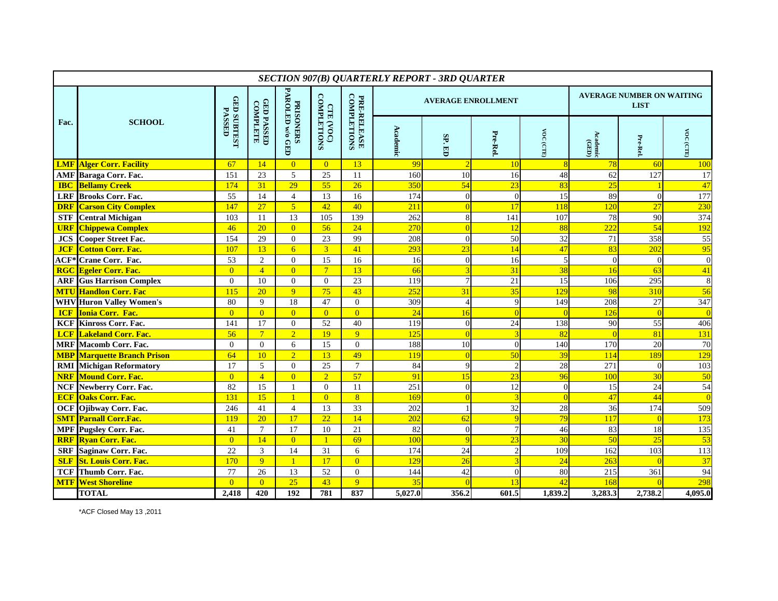| <b>SECTION 907(B) QUARTERLY REPORT - 3RD QUARTER</b> |                                    |                                     |                               |                                      |                                 |                                   |          |                           |                |                |                                                 |                 |                         |  |
|------------------------------------------------------|------------------------------------|-------------------------------------|-------------------------------|--------------------------------------|---------------------------------|-----------------------------------|----------|---------------------------|----------------|----------------|-------------------------------------------------|-----------------|-------------------------|--|
|                                                      |                                    |                                     |                               |                                      |                                 | <b>COMPLETIONS</b><br>PRE-RELEASE |          | <b>AVERAGE ENROLLMENT</b> |                |                | <b>AVERAGE NUMBER ON WAITING</b><br><b>LIST</b> |                 |                         |  |
| Fac.                                                 | <b>SCHOOL</b>                      | <b>GED SUBTEST</b><br><b>PASSED</b> | <b>GED PASSED</b><br>COMPLETE | <b>PRISONERS<br/>PAROLED w/o GED</b> | <b>COMPLETIONS</b><br>CTE (VOC) |                                   | Academic | SP.ED                     | Pre-Rel        | VOC (CTE)      | Academic<br>(GED)                               | Pre-Rel         | 50 <sub>A</sub><br>CDTE |  |
| <b>LMF</b>                                           | <b>Alger Corr. Facility</b>        | 67                                  | 14                            | $\overline{0}$                       | $\overline{0}$                  | 13                                | 99       | $\overline{2}$            | 10             | $\overline{8}$ | 78                                              | 60              | 100                     |  |
|                                                      | <b>AMF</b> Baraga Corr. Fac.       | 151                                 | 23                            | 5                                    | 25                              | 11                                | 160      | 10                        | 16             | 48             | 62                                              | 127             | 17                      |  |
| <b>IBC</b>                                           | <b>Bellamy Creek</b>               | 174                                 | 31                            | 29                                   | 55                              | $\overline{26}$                   | 350      | 54                        | 23             | 83             | 25                                              |                 | 47                      |  |
|                                                      | <b>LRF</b> Brooks Corr. Fac.       | $\overline{55}$                     | 14                            | $\overline{4}$                       | 13                              | 16                                | 174      | $\overline{0}$            | $\overline{0}$ | 15             | 89                                              | $\Omega$        | 177                     |  |
|                                                      | <b>DRF Carson City Complex</b>     | 147                                 | 27                            | $\mathbf{5}$                         | 42                              | 40                                | 211      | $\Omega$                  | 17             | 118            | 120                                             | 27              | 230                     |  |
| <b>STF</b>                                           | <b>Central Michigan</b>            | 103                                 | 11                            | 13                                   | 105                             | 139                               | 262      | 8                         | 141            | 107            | 78                                              | 90              | 374                     |  |
| <b>URF</b>                                           | <b>Chippewa Complex</b>            | 46                                  | 20                            | $\overline{0}$                       | 56                              | 24                                | 270      | $\Omega$                  | 12             | 88             | 222                                             | 54              | 192                     |  |
|                                                      | <b>JCS</b> Cooper Street Fac.      | 154                                 | 29                            | $\overline{0}$                       | 23                              | 99                                | 208      | $\theta$                  | 50             | 32             | 71                                              | 358             | $\overline{55}$         |  |
| <b>JCF</b>                                           | <b>Cotton Corr. Fac.</b>           | 107                                 | 13                            | $\overline{6}$                       | 3 <sup>1</sup>                  | 41                                | 293      | 23                        | 14             | 47             | 83                                              | 202             | 95                      |  |
|                                                      | <b>ACF*</b> Crane Corr. Fac.       | 53                                  | $\overline{c}$                | $\mathbf{0}$                         | 15                              | 16                                | 16       | $\theta$                  | 16             | 5              | $\Omega$                                        | $\Omega$        | $\overline{0}$          |  |
|                                                      | <b>RGC Egeler Corr. Fac.</b>       | $\overline{0}$                      | $\overline{4}$                | $\overline{0}$                       | $\overline{7}$                  | 13                                | 66       |                           | 31             | 38             | 16                                              | 63              | 41                      |  |
|                                                      | <b>ARF</b> Gus Harrison Complex    | $\boldsymbol{0}$                    | 10                            | $\overline{0}$                       | $\Omega$                        | 23                                | 119      | $\overline{7}$            | 21             | 15             | 106                                             | 295             | 8                       |  |
|                                                      | <b>MTU Handlon Corr. Fac</b>       | 115                                 | 20                            | 9                                    | 75                              | 43                                | 252      | 31                        | 35             | 129            | 98                                              | 31 <sup>c</sup> | 56                      |  |
|                                                      | <b>WHV</b> Huron Valley Women's    | 80                                  | 9                             | 18                                   | 47                              | $\overline{0}$                    | 309      | $\overline{4}$            | 9              | 149            | 208                                             | 27              | 347                     |  |
| <b>ICF</b>                                           | <b>Ionia Corr. Fac.</b>            | $\overline{0}$                      | $\overline{0}$                | $\overline{0}$                       | $\overline{0}$                  | $\overline{0}$                    | 24       | 16                        | $\Omega$       |                | 126                                             | $\Omega$        | $\overline{0}$          |  |
|                                                      | <b>KCF Kinross Corr. Fac.</b>      | 141                                 | 17                            | $\overline{0}$                       | 52                              | 40                                | 119      | $\mathbf{0}$              | 24             | 138            | 90                                              | 55              | 406                     |  |
|                                                      | <b>LCF</b> Lakeland Corr. Fac.     | 56                                  | $7\phantom{.0}$               | $\overline{2}$                       | 19                              | $\overline{9}$                    | 125      | $\Omega$                  |                | 82             |                                                 | 81              | 131                     |  |
|                                                      | <b>MRF</b> Macomb Corr. Fac.       | $\Omega$                            | $\Omega$                      | 6                                    | 15                              | $\theta$                          | 188      | 10                        | $\Omega$       | 140            | 170                                             | 20              | 70                      |  |
|                                                      | <b>MBP</b> Marquette Branch Prison | 64                                  | 10                            | $\overline{2}$                       | 13                              | 49                                | 119      | $\Omega$                  | 50             | 39             | 114                                             | 189             | 129                     |  |
|                                                      | <b>RMI</b> Michigan Reformatory    | 17                                  | 5                             | $\Omega$                             | $\overline{25}$                 | $\overline{7}$                    | 84       | 9                         | $\mathcal{D}$  | 28             | 271                                             | $\Omega$        | 103                     |  |
| <b>NRF</b>                                           | <b>Mound Corr. Fac.</b>            | $\overline{0}$                      | $\overline{4}$                | $\overline{0}$                       | $\overline{2}$                  | 57                                | 91       | 15                        | 23             | 96             | 100                                             | 30              | 50                      |  |
|                                                      | <b>NCF</b> Newberry Corr. Fac.     | 82                                  | 15                            |                                      | $\overline{0}$                  | 11                                | 251      | $\theta$                  | 12             | $\theta$       | 15                                              | 24              | 54                      |  |
|                                                      | <b>ECF Oaks Corr. Fac.</b>         | 131                                 | 15                            | $\mathbf{1}$                         | $\overline{0}$                  | 8                                 | 169      | $\Omega$                  |                | $\Omega$       | 47                                              | 44              | $\overline{0}$          |  |
| <b>OCF</b>                                           | Ojibway Corr. Fac.                 | 246                                 | 41                            | $\overline{4}$                       | 13                              | $\overline{33}$                   | 202      |                           | 32             | 28             | $\overline{36}$                                 | 174             | 509                     |  |
| <b>SMT</b>                                           | <b>Parnall Corr.Fac.</b>           | 119                                 | 20                            | 17                                   | 22                              | 14                                | 202      | 62                        |                | 79             | 117                                             |                 | 173                     |  |
|                                                      | <b>MPF</b> Pugsley Corr. Fac.      | 41                                  | $\overline{7}$                | 17                                   | 10                              | $\overline{21}$                   | 82       | $\overline{0}$            |                | 46             | 83                                              | 18              | 135                     |  |
| <b>RRF</b>                                           | <b>Ryan Corr. Fac.</b>             | $\overline{0}$                      | 14                            | $\overline{0}$                       | $\mathbf{1}$                    | 69                                | 100      | $\overline{q}$            | 23             | 30             | 50                                              | 25              | 53                      |  |
|                                                      | <b>SRF</b> Saginaw Corr. Fac.      | 22                                  | 3                             | 14                                   | 31                              | 6                                 | 174      | 24                        | $\overline{2}$ | 109            | 162                                             | 103             | 113                     |  |
|                                                      | <b>SLF St. Louis Corr. Fac.</b>    | 170                                 | $\overline{9}$                | $\mathbf{1}$                         | 17                              | $\overline{0}$                    | 129      | 26                        |                | 24             | 263                                             |                 | 37                      |  |
|                                                      | <b>TCF</b> Thumb Corr. Fac.        | 77                                  | 26                            | 13                                   | 52                              | $\Omega$                          | 144      | 42                        | $\Omega$       | 80             | 215                                             | 361             | 94                      |  |
| <b>MTF</b>                                           | <b>West Shoreline</b>              | $\overline{0}$                      | $\Omega$                      | 25                                   | 43                              | $\overline{9}$                    | 35       |                           | 13             | 42             | 168                                             |                 | 298                     |  |
|                                                      | <b>TOTAL</b>                       | 2,418                               | 420                           | 192                                  | 781                             | 837                               | 5,027.0  | 356.2                     | 601.5          | 1,839.2        | 3,283.3                                         | 2,738.2         | 4,095.0                 |  |

\*ACF Closed May 13 ,2011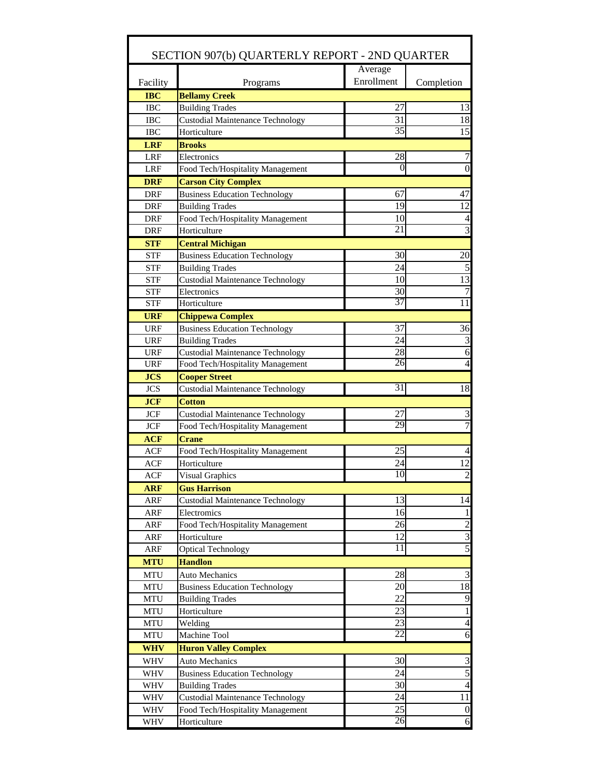| SECTION 907(b) QUARTERLY REPORT - 2ND QUARTER |                                         |                 |                         |  |  |  |  |  |  |  |
|-----------------------------------------------|-----------------------------------------|-----------------|-------------------------|--|--|--|--|--|--|--|
|                                               |                                         | Average         |                         |  |  |  |  |  |  |  |
| Facility                                      | Programs                                | Enrollment      | Completion              |  |  |  |  |  |  |  |
| <b>IBC</b>                                    | <b>Bellamy Creek</b>                    |                 |                         |  |  |  |  |  |  |  |
| <b>IBC</b>                                    | <b>Building Trades</b>                  | 27              | 13                      |  |  |  |  |  |  |  |
| <b>IBC</b>                                    | <b>Custodial Maintenance Technology</b> | 31              | 18                      |  |  |  |  |  |  |  |
| <b>IBC</b>                                    | Horticulture                            | 35              | 15                      |  |  |  |  |  |  |  |
| <b>LRF</b>                                    | <b>Brooks</b>                           |                 |                         |  |  |  |  |  |  |  |
| <b>LRF</b>                                    | Electronics                             | 28              | $\boldsymbol{7}$        |  |  |  |  |  |  |  |
| <b>LRF</b>                                    | Food Tech/Hospitality Management        |                 | $\overline{0}$          |  |  |  |  |  |  |  |
| <b>DRF</b>                                    | <b>Carson City Complex</b>              |                 |                         |  |  |  |  |  |  |  |
| DRF                                           | <b>Business Education Technology</b>    | 67              | 47                      |  |  |  |  |  |  |  |
| DRF                                           | <b>Building Trades</b>                  | 19              | 12                      |  |  |  |  |  |  |  |
| <b>DRF</b>                                    | Food Tech/Hospitality Management        | 10              | 4                       |  |  |  |  |  |  |  |
| DRF                                           | Horticulture                            | 21              | $\overline{3}$          |  |  |  |  |  |  |  |
| <b>STF</b>                                    | <b>Central Michigan</b>                 |                 |                         |  |  |  |  |  |  |  |
| <b>STF</b>                                    | <b>Business Education Technology</b>    | 30              | 20                      |  |  |  |  |  |  |  |
| <b>STF</b>                                    | <b>Building Trades</b>                  | 24              | 5                       |  |  |  |  |  |  |  |
| <b>STF</b>                                    | <b>Custodial Maintenance Technology</b> | 10              | 13                      |  |  |  |  |  |  |  |
| <b>STF</b>                                    | Electronics                             | 30              | $\boldsymbol{7}$        |  |  |  |  |  |  |  |
| <b>STF</b>                                    | Horticulture                            | 37              | 11                      |  |  |  |  |  |  |  |
| <b>URF</b>                                    | <b>Chippewa Complex</b>                 |                 |                         |  |  |  |  |  |  |  |
| <b>URF</b>                                    | <b>Business Education Technology</b>    | 37              | 36                      |  |  |  |  |  |  |  |
| <b>URF</b>                                    | <b>Building Trades</b>                  | 24              | 3                       |  |  |  |  |  |  |  |
| <b>URF</b>                                    | <b>Custodial Maintenance Technology</b> | 28              | 6                       |  |  |  |  |  |  |  |
| <b>URF</b>                                    | Food Tech/Hospitality Management        | 26              | $\overline{4}$          |  |  |  |  |  |  |  |
| <b>JCS</b>                                    | <b>Cooper Street</b>                    |                 |                         |  |  |  |  |  |  |  |
| <b>JCS</b>                                    | <b>Custodial Maintenance Technology</b> | 31              | 18                      |  |  |  |  |  |  |  |
| <b>JCF</b>                                    | <b>Cotton</b>                           |                 |                         |  |  |  |  |  |  |  |
| <b>JCF</b>                                    | <b>Custodial Maintenance Technology</b> | 27              | $\sqrt{3}$              |  |  |  |  |  |  |  |
| <b>JCF</b>                                    | Food Tech/Hospitality Management        | 29              | $\overline{7}$          |  |  |  |  |  |  |  |
| <b>ACF</b>                                    | <b>Crane</b>                            |                 |                         |  |  |  |  |  |  |  |
| <b>ACF</b>                                    | Food Tech/Hospitality Management        | 25              | 4                       |  |  |  |  |  |  |  |
| <b>ACF</b>                                    | Horticulture                            | 24              | 12                      |  |  |  |  |  |  |  |
| <b>ACF</b>                                    | <b>Visual Graphics</b>                  | $\overline{10}$ | $\overline{2}$          |  |  |  |  |  |  |  |
| <b>ARF</b>                                    | <b>Gus Harrison</b>                     |                 |                         |  |  |  |  |  |  |  |
| ARF                                           | <b>Custodial Maintenance Technology</b> | 13              | 14                      |  |  |  |  |  |  |  |
| ARF                                           | Electromics                             | 16              | 1                       |  |  |  |  |  |  |  |
| ARF                                           | Food Tech/Hospitality Management        | 26              | $\overline{c}$          |  |  |  |  |  |  |  |
| ARF                                           | Horticulture                            | 12              | $\overline{3}$          |  |  |  |  |  |  |  |
| ARF                                           | <b>Optical Technology</b>               | 11              | $\overline{5}$          |  |  |  |  |  |  |  |
| <b>MTU</b>                                    | <b>Handlon</b>                          |                 |                         |  |  |  |  |  |  |  |
| <b>MTU</b>                                    | <b>Auto Mechanics</b>                   | 28              | $\mathfrak{Z}$          |  |  |  |  |  |  |  |
| <b>MTU</b>                                    | <b>Business Education Technology</b>    | 20              | 18                      |  |  |  |  |  |  |  |
| <b>MTU</b>                                    | <b>Building Trades</b>                  | 22              | 9                       |  |  |  |  |  |  |  |
| <b>MTU</b>                                    | Horticulture                            | 23              | $\mathbf{1}$            |  |  |  |  |  |  |  |
| <b>MTU</b>                                    | Welding                                 | 23              | $\overline{4}$          |  |  |  |  |  |  |  |
| <b>MTU</b>                                    | Machine Tool                            | $\overline{22}$ | 6                       |  |  |  |  |  |  |  |
| <b>WHV</b>                                    | <b>Huron Valley Complex</b>             |                 |                         |  |  |  |  |  |  |  |
| <b>WHV</b>                                    | <b>Auto Mechanics</b>                   | 30              | $\overline{\mathbf{3}}$ |  |  |  |  |  |  |  |
| WHV                                           | <b>Business Education Technology</b>    | 24              | $\overline{5}$          |  |  |  |  |  |  |  |
| WHV                                           | <b>Building Trades</b>                  | 30              | $\overline{4}$          |  |  |  |  |  |  |  |
| <b>WHV</b>                                    | <b>Custodial Maintenance Technology</b> | 24              | 11                      |  |  |  |  |  |  |  |
| <b>WHV</b>                                    | Food Tech/Hospitality Management        | 25              | $\boldsymbol{0}$        |  |  |  |  |  |  |  |
| WHV                                           | Horticulture                            | $\overline{26}$ | 6                       |  |  |  |  |  |  |  |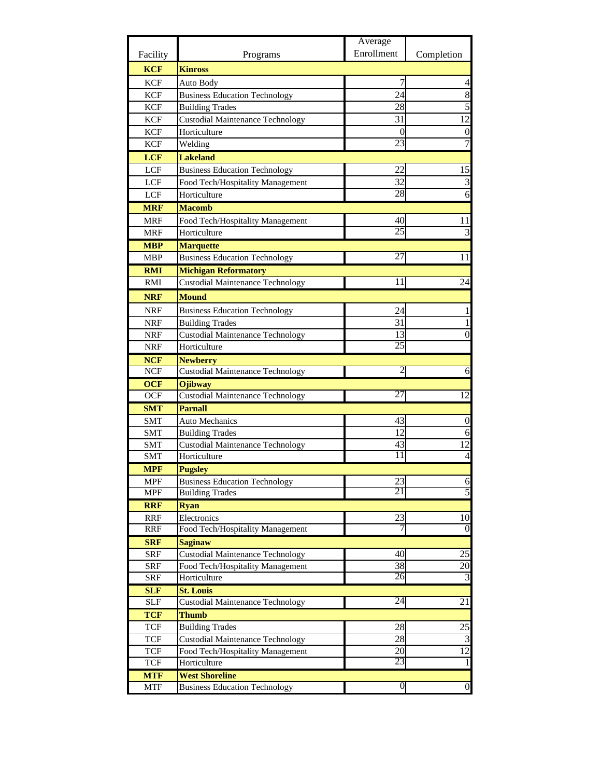|            |                                         | Average         |                  |
|------------|-----------------------------------------|-----------------|------------------|
| Facility   | Programs                                | Enrollment      | Completion       |
| <b>KCF</b> | <b>Kinross</b>                          |                 |                  |
| <b>KCF</b> | Auto Body                               | 7               | 4                |
| <b>KCF</b> | <b>Business Education Technology</b>    | 24              | 8                |
| <b>KCF</b> | <b>Building Trades</b>                  | 28              | 5                |
| <b>KCF</b> | <b>Custodial Maintenance Technology</b> | 31              | 12               |
| <b>KCF</b> | Horticulture                            | 0               | $\boldsymbol{0}$ |
| <b>KCF</b> | Welding                                 | 23              | $\overline{7}$   |
| <b>LCF</b> | <b>Lakeland</b>                         |                 |                  |
| <b>LCF</b> | <b>Business Education Technology</b>    | 22              | 15               |
| <b>LCF</b> | Food Tech/Hospitality Management        | 32              | 3                |
| <b>LCF</b> | Horticulture                            | 28              | 6                |
| <b>MRF</b> | <b>Macomb</b>                           |                 |                  |
| <b>MRF</b> | Food Tech/Hospitality Management        | 40              | 11               |
| <b>MRF</b> | Horticulture                            | 25              | 3                |
| <b>MBP</b> | <b>Marquette</b>                        |                 |                  |
| <b>MBP</b> | <b>Business Education Technology</b>    | 27              | 11               |
| <b>RMI</b> | <b>Michigan Reformatory</b>             |                 |                  |
| RMI        | <b>Custodial Maintenance Technology</b> | 11              | 24               |
| <b>NRF</b> | <b>Mound</b>                            |                 |                  |
| NRF        | <b>Business Education Technology</b>    | 24              | 1                |
| <b>NRF</b> | <b>Building Trades</b>                  | 31              | 1                |
| <b>NRF</b> | <b>Custodial Maintenance Technology</b> | 13              | $\theta$         |
| <b>NRF</b> | Horticulture                            | 25              |                  |
| <b>NCF</b> | <b>Newberry</b>                         |                 |                  |
| <b>NCF</b> | <b>Custodial Maintenance Technology</b> |                 | 6                |
| <b>OCF</b> | <b>Ojibway</b>                          |                 |                  |
| <b>OCF</b> | <b>Custodial Maintenance Technology</b> | 27              | 12               |
| <b>SMT</b> | <b>Parnall</b>                          |                 |                  |
| <b>SMT</b> | <b>Auto Mechanics</b>                   | 43              | $\boldsymbol{0}$ |
| <b>SMT</b> | <b>Building Trades</b>                  | 12              | 6                |
| <b>SMT</b> | <b>Custodial Maintenance Technology</b> | 43              | 12               |
| <b>SMT</b> | Horticulture                            | 11              | 4                |
| MPF        | <b>Pugsley</b>                          |                 |                  |
| <b>MPF</b> | <b>Business Education Technology</b>    | 23              | 6                |
| MPF        | <b>Building Trades</b>                  | $\overline{21}$ | 5                |
| <b>RRF</b> | <b>Ryan</b>                             |                 |                  |
| <b>RRF</b> | Electronics                             | 23              | 10               |
| RRF        | Food Tech/Hospitality Management        |                 | $\theta$         |
| <b>SRF</b> | <b>Saginaw</b>                          |                 |                  |
| SRF        | <b>Custodial Maintenance Technology</b> | 40              | 25               |
| SRF        | Food Tech/Hospitality Management        | 38              | 20               |
| SRF        | Horticulture                            | 26              | 3                |
| <b>SLF</b> | <b>St. Louis</b>                        |                 |                  |
| <b>SLF</b> | <b>Custodial Maintenance Technology</b> | 24              | 21               |
| <b>TCF</b> | <b>Thumb</b>                            |                 |                  |
| TCF        | <b>Building Trades</b>                  | 28              | 25               |
| TCF        | <b>Custodial Maintenance Technology</b> | 28              | 3                |
| TCF        | Food Tech/Hospitality Management        | 20              | 12               |
| <b>TCF</b> | Horticulture                            | 23              | $\mathbf{1}$     |
| <b>MTF</b> | <b>West Shoreline</b>                   |                 |                  |
| <b>MTF</b> | <b>Business Education Technology</b>    | 0               | $\boldsymbol{0}$ |